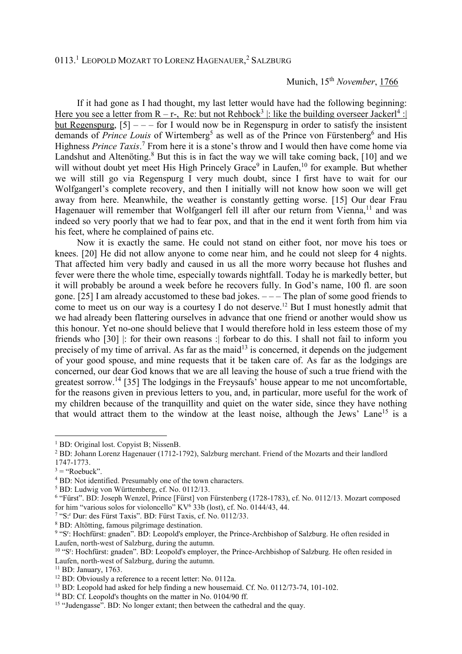## Munich, 15<sup>th</sup> *November*, 1766

 If it had gone as I had thought, my last letter would have had the following beginning: Here you see a letter from R – r-, Re: but not Rehbock<sup>3</sup> |: like the building overseer Jackerl<sup>4</sup> : | but Regenspurg,  $[5]$  – – – for I would now be in Regenspurg in order to satisfy the insistent demands of *Prince Louis* of Wirtemberg<sup>5</sup> as well as of the Prince von Fürstenberg<sup>6</sup> and His Highness *Prince Taxis*. 7 From here it is a stone's throw and I would then have come home via Landshut and Altenöting.<sup>8</sup> But this is in fact the way we will take coming back, [10] and we will without doubt yet meet His High Princely Grace<sup>9</sup> in Laufen,<sup>10</sup> for example. But whether we will still go via Regenspurg I very much doubt, since I first have to wait for our Wolfgangerl's complete recovery, and then I initially will not know how soon we will get away from here. Meanwhile, the weather is constantly getting worse. [15] Our dear Frau Hagenauer will remember that Wolfgangerl fell ill after our return from Vienna,<sup>11</sup> and was indeed so very poorly that we had to fear pox, and that in the end it went forth from him via his feet, where he complained of pains etc.

 Now it is exactly the same. He could not stand on either foot, nor move his toes or knees. [20] He did not allow anyone to come near him, and he could not sleep for 4 nights. That affected him very badly and caused in us all the more worry because hot flushes and fever were there the whole time, especially towards nightfall. Today he is markedly better, but it will probably be around a week before he recovers fully. In God's name, 100 fl. are soon gone. [25] I am already accustomed to these bad jokes. – – – The plan of some good friends to come to meet us on our way is a courtesy I do not deserve.<sup>12</sup> But I must honestly admit that we had already been flattering ourselves in advance that one friend or another would show us this honour. Yet no-one should believe that I would therefore hold in less esteem those of my friends who [30] |: for their own reasons :| forbear to do this. I shall not fail to inform you precisely of my time of arrival. As far as the maid<sup>13</sup> is concerned, it depends on the judgement of your good spouse, and mine requests that it be taken care of. As far as the lodgings are concerned, our dear God knows that we are all leaving the house of such a true friend with the greatest sorrow.<sup>14</sup> [35] The lodgings in the Freysaufs' house appear to me not uncomfortable, for the reasons given in previous letters to you, and, in particular, more useful for the work of my children because of the tranquillity and quiet on the water side, since they have nothing that would attract them to the window at the least noise, although the Jews' Lane<sup>15</sup> is a

 $\overline{a}$ 

<sup>&</sup>lt;sup>1</sup> BD: Original lost. Copyist B; NissenB.

<sup>&</sup>lt;sup>2</sup> BD: Johann Lorenz Hagenauer (1712-1792), Salzburg merchant. Friend of the Mozarts and their landlord 1747-1773.

 $3 =$  "Roebuck".

<sup>&</sup>lt;sup>4</sup> BD: Not identified. Presumably one of the town characters.

<sup>5</sup> BD: Ludwig von Württemberg, cf. No. 0112/13.

<sup>&</sup>lt;sup>6</sup> "Fürst". BD: Joseph Wenzel, Prince [Fürst] von Fürstenberg (1728-1783), cf. No. 0112/13. Mozart composed for him "various solos for violoncello" KV<sup>6</sup> 33b (lost), cf. No. 0144/43, 44.

<sup>&</sup>lt;sup>7</sup> "S:<sup>r</sup> Dur: des Fürst Taxis". BD: Fürst Taxis, cf. No. 0112/33.

<sup>8</sup> BD: Altötting, famous pilgrimage destination.

<sup>&</sup>lt;sup>9</sup> "S<sup>r</sup>: Hochfürst: gnaden". BD: Leopold's employer, the Prince-Archbishop of Salzburg. He often resided in Laufen, north-west of Salzburg, during the autumn.

<sup>&</sup>lt;sup>10</sup> "S<sup>r</sup>: Hochfürst: gnaden". BD: Leopold's employer, the Prince-Archbishop of Salzburg. He often resided in Laufen, north-west of Salzburg, during the autumn.

<sup>&</sup>lt;sup>11</sup> BD: January, 1763.

<sup>&</sup>lt;sup>12</sup> BD: Obviously a reference to a recent letter: No. 0112a.

<sup>&</sup>lt;sup>13</sup> BD: Leopold had asked for help finding a new housemaid. Cf. No. 0112/73-74, 101-102.

<sup>&</sup>lt;sup>14</sup> BD: Cf. Leopold's thoughts on the matter in No. 0104/90 ff.

<sup>&</sup>lt;sup>15</sup> "Judengasse". BD: No longer extant; then between the cathedral and the quay.